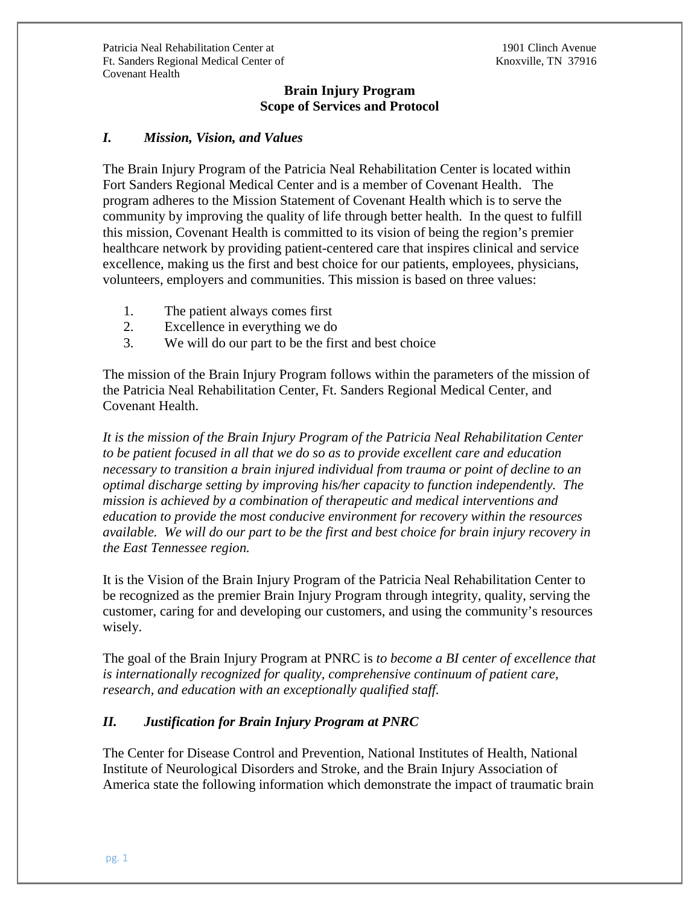# **Brain Injury Program Scope of Services and Protocol**

# *I. Mission, Vision, and Values*

The Brain Injury Program of the Patricia Neal Rehabilitation Center is located within Fort Sanders Regional Medical Center and is a member of Covenant Health. The program adheres to the Mission Statement of Covenant Health which is to serve the community by improving the quality of life through better health. In the quest to fulfill this mission, Covenant Health is committed to its vision of being the region's premier healthcare network by providing patient-centered care that inspires clinical and service excellence, making us the first and best choice for our patients, employees, physicians, volunteers, employers and communities. This mission is based on three values:

- 1. The patient always comes first
- 2. Excellence in everything we do
- 3. We will do our part to be the first and best choice

The mission of the Brain Injury Program follows within the parameters of the mission of the Patricia Neal Rehabilitation Center, Ft. Sanders Regional Medical Center, and Covenant Health.

*It is the mission of the Brain Injury Program of the Patricia Neal Rehabilitation Center to be patient focused in all that we do so as to provide excellent care and education necessary to transition a brain injured individual from trauma or point of decline to an optimal discharge setting by improving his/her capacity to function independently. The mission is achieved by a combination of therapeutic and medical interventions and education to provide the most conducive environment for recovery within the resources available. We will do our part to be the first and best choice for brain injury recovery in the East Tennessee region.*

It is the Vision of the Brain Injury Program of the Patricia Neal Rehabilitation Center to be recognized as the premier Brain Injury Program through integrity, quality, serving the customer, caring for and developing our customers, and using the community's resources wisely.

The goal of the Brain Injury Program at PNRC is *to become a BI center of excellence that is internationally recognized for quality, comprehensive continuum of patient care, research, and education with an exceptionally qualified staff.*

# *II. Justification for Brain Injury Program at PNRC*

The Center for Disease Control and Prevention, National Institutes of Health, National Institute of Neurological Disorders and Stroke, and the Brain Injury Association of America state the following information which demonstrate the impact of traumatic brain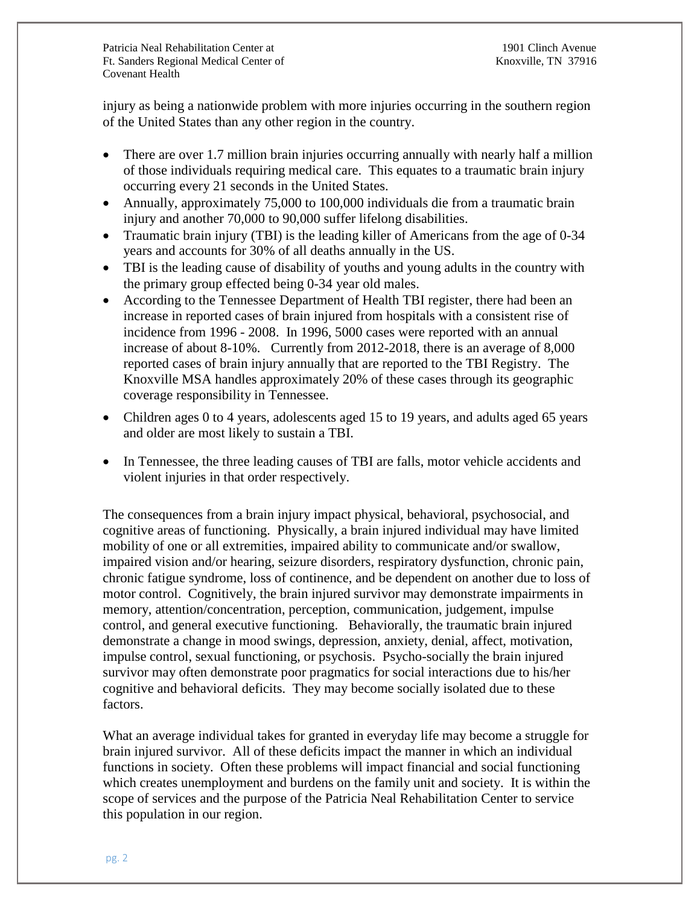injury as being a nationwide problem with more injuries occurring in the southern region of the United States than any other region in the country.

- There are over 1.7 million brain injuries occurring annually with nearly half a million of those individuals requiring medical care. This equates to a traumatic brain injury occurring every 21 seconds in the United States.
- Annually, approximately 75,000 to 100,000 individuals die from a traumatic brain injury and another 70,000 to 90,000 suffer lifelong disabilities.
- Traumatic brain injury (TBI) is the leading killer of Americans from the age of 0-34 years and accounts for 30% of all deaths annually in the US.
- TBI is the leading cause of disability of youths and young adults in the country with the primary group effected being 0-34 year old males.
- According to the Tennessee Department of Health TBI register, there had been an increase in reported cases of brain injured from hospitals with a consistent rise of incidence from 1996 - 2008. In 1996, 5000 cases were reported with an annual increase of about 8-10%. Currently from 2012-2018, there is an average of 8,000 reported cases of brain injury annually that are reported to the TBI Registry. The Knoxville MSA handles approximately 20% of these cases through its geographic coverage responsibility in Tennessee.
- Children ages 0 to 4 years, adolescents aged 15 to 19 years, and adults aged 65 years and older are most likely to sustain a TBI.
- In Tennessee, the three leading causes of TBI are falls, motor vehicle accidents and violent injuries in that order respectively.

The consequences from a brain injury impact physical, behavioral, psychosocial, and cognitive areas of functioning. Physically, a brain injured individual may have limited mobility of one or all extremities, impaired ability to communicate and/or swallow, impaired vision and/or hearing, seizure disorders, respiratory dysfunction, chronic pain, chronic fatigue syndrome, loss of continence, and be dependent on another due to loss of motor control. Cognitively, the brain injured survivor may demonstrate impairments in memory, attention/concentration, perception, communication, judgement, impulse control, and general executive functioning. Behaviorally, the traumatic brain injured demonstrate a change in mood swings, depression, anxiety, denial, affect, motivation, impulse control, sexual functioning, or psychosis. Psycho-socially the brain injured survivor may often demonstrate poor pragmatics for social interactions due to his/her cognitive and behavioral deficits. They may become socially isolated due to these factors.

What an average individual takes for granted in everyday life may become a struggle for brain injured survivor. All of these deficits impact the manner in which an individual functions in society. Often these problems will impact financial and social functioning which creates unemployment and burdens on the family unit and society. It is within the scope of services and the purpose of the Patricia Neal Rehabilitation Center to service this population in our region.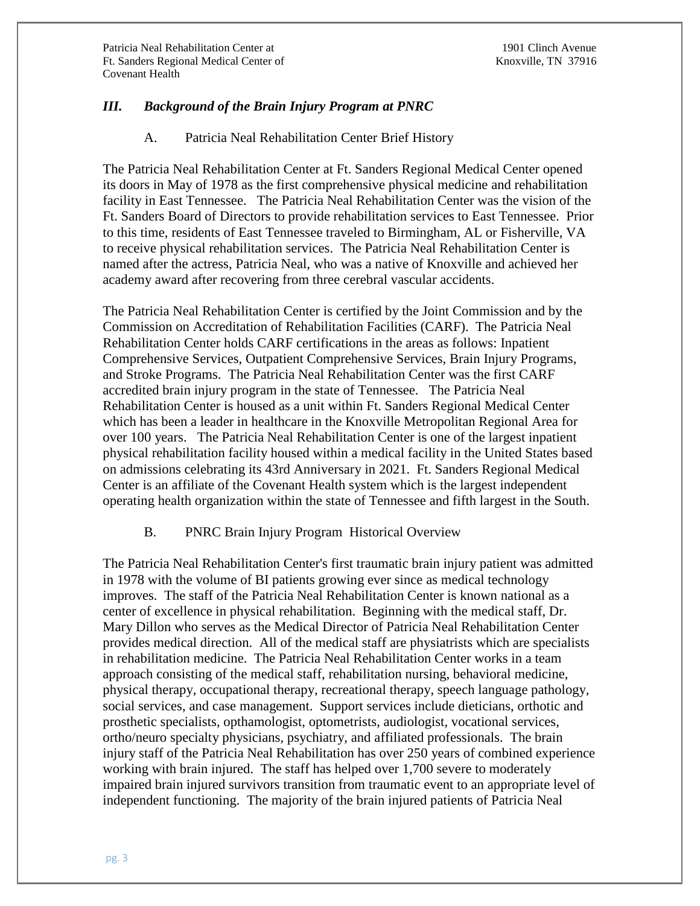# *III. Background of the Brain Injury Program at PNRC*

### A. Patricia Neal Rehabilitation Center Brief History

The Patricia Neal Rehabilitation Center at Ft. Sanders Regional Medical Center opened its doors in May of 1978 as the first comprehensive physical medicine and rehabilitation facility in East Tennessee. The Patricia Neal Rehabilitation Center was the vision of the Ft. Sanders Board of Directors to provide rehabilitation services to East Tennessee. Prior to this time, residents of East Tennessee traveled to Birmingham, AL or Fisherville, VA to receive physical rehabilitation services. The Patricia Neal Rehabilitation Center is named after the actress, Patricia Neal, who was a native of Knoxville and achieved her academy award after recovering from three cerebral vascular accidents.

The Patricia Neal Rehabilitation Center is certified by the Joint Commission and by the Commission on Accreditation of Rehabilitation Facilities (CARF). The Patricia Neal Rehabilitation Center holds CARF certifications in the areas as follows: Inpatient Comprehensive Services, Outpatient Comprehensive Services, Brain Injury Programs, and Stroke Programs. The Patricia Neal Rehabilitation Center was the first CARF accredited brain injury program in the state of Tennessee. The Patricia Neal Rehabilitation Center is housed as a unit within Ft. Sanders Regional Medical Center which has been a leader in healthcare in the Knoxville Metropolitan Regional Area for over 100 years. The Patricia Neal Rehabilitation Center is one of the largest inpatient physical rehabilitation facility housed within a medical facility in the United States based on admissions celebrating its 43rd Anniversary in 2021. Ft. Sanders Regional Medical Center is an affiliate of the Covenant Health system which is the largest independent operating health organization within the state of Tennessee and fifth largest in the South.

### B. PNRC Brain Injury Program Historical Overview

The Patricia Neal Rehabilitation Center's first traumatic brain injury patient was admitted in 1978 with the volume of BI patients growing ever since as medical technology improves. The staff of the Patricia Neal Rehabilitation Center is known national as a center of excellence in physical rehabilitation. Beginning with the medical staff, Dr. Mary Dillon who serves as the Medical Director of Patricia Neal Rehabilitation Center provides medical direction. All of the medical staff are physiatrists which are specialists in rehabilitation medicine. The Patricia Neal Rehabilitation Center works in a team approach consisting of the medical staff, rehabilitation nursing, behavioral medicine, physical therapy, occupational therapy, recreational therapy, speech language pathology, social services, and case management. Support services include dieticians, orthotic and prosthetic specialists, opthamologist, optometrists, audiologist, vocational services, ortho/neuro specialty physicians, psychiatry, and affiliated professionals. The brain injury staff of the Patricia Neal Rehabilitation has over 250 years of combined experience working with brain injured. The staff has helped over 1,700 severe to moderately impaired brain injured survivors transition from traumatic event to an appropriate level of independent functioning. The majority of the brain injured patients of Patricia Neal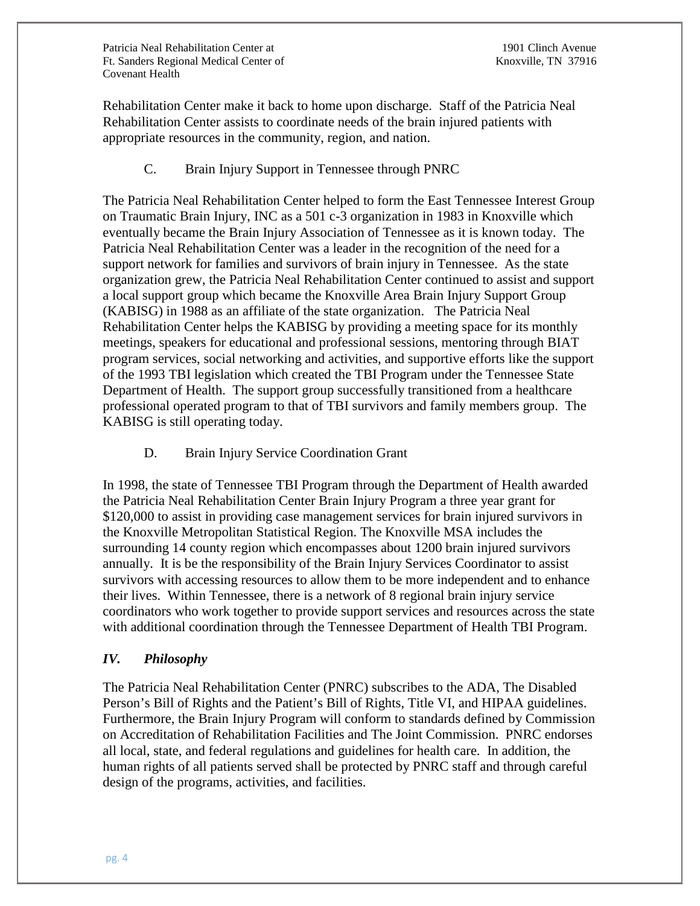Rehabilitation Center make it back to home upon discharge. Staff of the Patricia Neal Rehabilitation Center assists to coordinate needs of the brain injured patients with appropriate resources in the community, region, and nation.

C. Brain Injury Support in Tennessee through PNRC

The Patricia Neal Rehabilitation Center helped to form the East Tennessee Interest Group on Traumatic Brain Injury, INC as a 501 c-3 organization in 1983 in Knoxville which eventually became the Brain Injury Association of Tennessee as it is known today. The Patricia Neal Rehabilitation Center was a leader in the recognition of the need for a support network for families and survivors of brain injury in Tennessee. As the state organization grew, the Patricia Neal Rehabilitation Center continued to assist and support a local support group which became the Knoxville Area Brain Injury Support Group (KABISG) in 1988 as an affiliate of the state organization. The Patricia Neal Rehabilitation Center helps the KABISG by providing a meeting space for its monthly meetings, speakers for educational and professional sessions, mentoring through BIAT program services, social networking and activities, and supportive efforts like the support of the 1993 TBI legislation which created the TBI Program under the Tennessee State Department of Health. The support group successfully transitioned from a healthcare professional operated program to that of TBI survivors and family members group. The KABISG is still operating today.

D. Brain Injury Service Coordination Grant

In 1998, the state of Tennessee TBI Program through the Department of Health awarded the Patricia Neal Rehabilitation Center Brain Injury Program a three year grant for \$120,000 to assist in providing case management services for brain injured survivors in the Knoxville Metropolitan Statistical Region. The Knoxville MSA includes the surrounding 14 county region which encompasses about 1200 brain injured survivors annually. It is be the responsibility of the Brain Injury Services Coordinator to assist survivors with accessing resources to allow them to be more independent and to enhance their lives. Within Tennessee, there is a network of 8 regional brain injury service coordinators who work together to provide support services and resources across the state with additional coordination through the Tennessee Department of Health TBI Program.

### *IV. Philosophy*

The Patricia Neal Rehabilitation Center (PNRC) subscribes to the ADA, The Disabled Person's Bill of Rights and the Patient's Bill of Rights, Title VI, and HIPAA guidelines. Furthermore, the Brain Injury Program will conform to standards defined by Commission on Accreditation of Rehabilitation Facilities and The Joint Commission. PNRC endorses all local, state, and federal regulations and guidelines for health care. In addition, the human rights of all patients served shall be protected by PNRC staff and through careful design of the programs, activities, and facilities.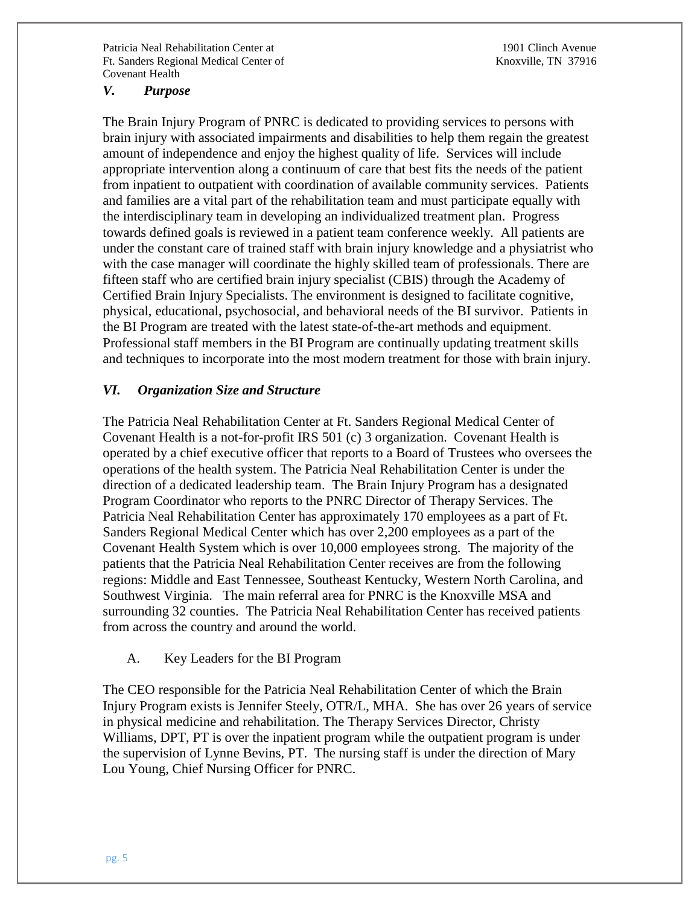### *V. Purpose*

The Brain Injury Program of PNRC is dedicated to providing services to persons with brain injury with associated impairments and disabilities to help them regain the greatest amount of independence and enjoy the highest quality of life. Services will include appropriate intervention along a continuum of care that best fits the needs of the patient from inpatient to outpatient with coordination of available community services. Patients and families are a vital part of the rehabilitation team and must participate equally with the interdisciplinary team in developing an individualized treatment plan. Progress towards defined goals is reviewed in a patient team conference weekly. All patients are under the constant care of trained staff with brain injury knowledge and a physiatrist who with the case manager will coordinate the highly skilled team of professionals. There are fifteen staff who are certified brain injury specialist (CBIS) through the Academy of Certified Brain Injury Specialists. The environment is designed to facilitate cognitive, physical, educational, psychosocial, and behavioral needs of the BI survivor. Patients in the BI Program are treated with the latest state-of-the-art methods and equipment. Professional staff members in the BI Program are continually updating treatment skills and techniques to incorporate into the most modern treatment for those with brain injury.

### *VI. Organization Size and Structure*

The Patricia Neal Rehabilitation Center at Ft. Sanders Regional Medical Center of Covenant Health is a not-for-profit IRS 501 (c) 3 organization. Covenant Health is operated by a chief executive officer that reports to a Board of Trustees who oversees the operations of the health system. The Patricia Neal Rehabilitation Center is under the direction of a dedicated leadership team. The Brain Injury Program has a designated Program Coordinator who reports to the PNRC Director of Therapy Services. The Patricia Neal Rehabilitation Center has approximately 170 employees as a part of Ft. Sanders Regional Medical Center which has over 2,200 employees as a part of the Covenant Health System which is over 10,000 employees strong. The majority of the patients that the Patricia Neal Rehabilitation Center receives are from the following regions: Middle and East Tennessee, Southeast Kentucky, Western North Carolina, and Southwest Virginia. The main referral area for PNRC is the Knoxville MSA and surrounding 32 counties. The Patricia Neal Rehabilitation Center has received patients from across the country and around the world.

### A. Key Leaders for the BI Program

The CEO responsible for the Patricia Neal Rehabilitation Center of which the Brain Injury Program exists is Jennifer Steely, OTR/L, MHA. She has over 26 years of service in physical medicine and rehabilitation. The Therapy Services Director, Christy Williams, DPT, PT is over the inpatient program while the outpatient program is under the supervision of Lynne Bevins, PT. The nursing staff is under the direction of Mary Lou Young, Chief Nursing Officer for PNRC.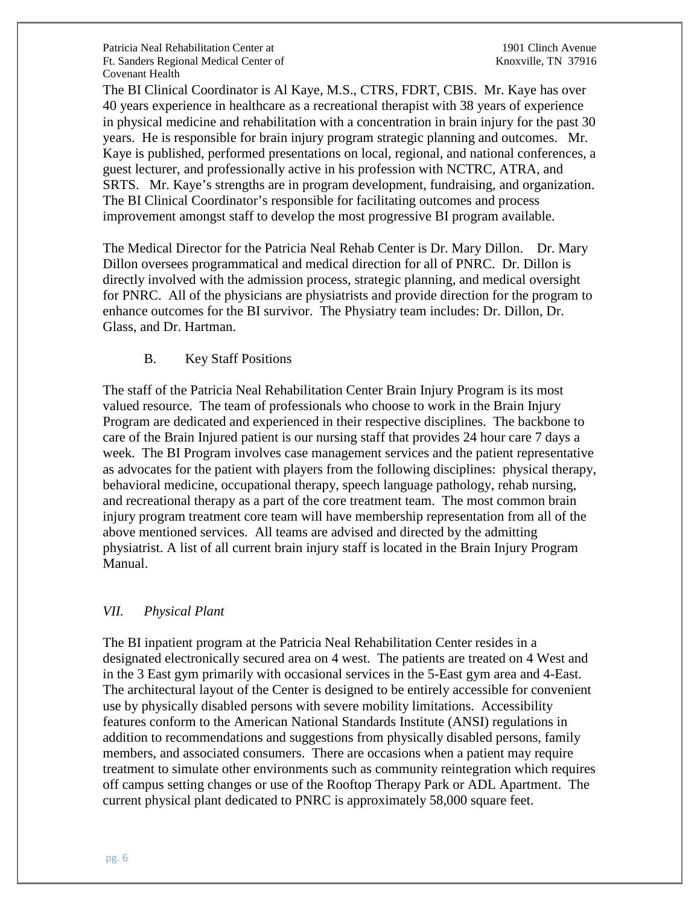The BI Clinical Coordinator is Al Kaye, M.S., CTRS, FDRT, CBIS. Mr. Kaye has over 40 years experience in healthcare as a recreational therapist with 38 years of experience in physical medicine and rehabilitation with a concentration in brain injury for the past 30 years. He is responsible for brain injury program strategic planning and outcomes. Mr. Kaye is published, performed presentations on local, regional, and national conferences, a guest lecturer, and professionally active in his profession with NCTRC, ATRA, and SRTS. Mr. Kaye's strengths are in program development, fundraising, and organization. The BI Clinical Coordinator's responsible for facilitating outcomes and process improvement amongst staff to develop the most progressive BI program available.

The Medical Director for the Patricia Neal Rehab Center is Dr. Mary Dillon. Dr. Mary Dillon oversees programmatical and medical direction for all of PNRC. Dr. Dillon is directly involved with the admission process, strategic planning, and medical oversight for PNRC. All of the physicians are physiatrists and provide direction for the program to enhance outcomes for the BI survivor. The Physiatry team includes: Dr. Dillon, Dr. Glass, and Dr. Hartman.

### B. Key Staff Positions

The staff of the Patricia Neal Rehabilitation Center Brain Injury Program is its most valued resource. The team of professionals who choose to work in the Brain Injury Program are dedicated and experienced in their respective disciplines. The backbone to care of the Brain Injured patient is our nursing staff that provides 24 hour care 7 days a week. The BI Program involves case management services and the patient representative as advocates for the patient with players from the following disciplines: physical therapy, behavioral medicine, occupational therapy, speech language pathology, rehab nursing, and recreational therapy as a part of the core treatment team. The most common brain injury program treatment core team will have membership representation from all of the above mentioned services. All teams are advised and directed by the admitting physiatrist. A list of all current brain injury staff is located in the Brain Injury Program Manual.

## *VII. Physical Plant*

The BI inpatient program at the Patricia Neal Rehabilitation Center resides in a designated electronically secured area on 4 west. The patients are treated on 4 West and in the 3 East gym primarily with occasional services in the 5-East gym area and 4-East. The architectural layout of the Center is designed to be entirely accessible for convenient use by physically disabled persons with severe mobility limitations. Accessibility features conform to the American National Standards Institute (ANSI) regulations in addition to recommendations and suggestions from physically disabled persons, family members, and associated consumers. There are occasions when a patient may require treatment to simulate other environments such as community reintegration which requires off campus setting changes or use of the Rooftop Therapy Park or ADL Apartment. The current physical plant dedicated to PNRC is approximately 58,000 square feet.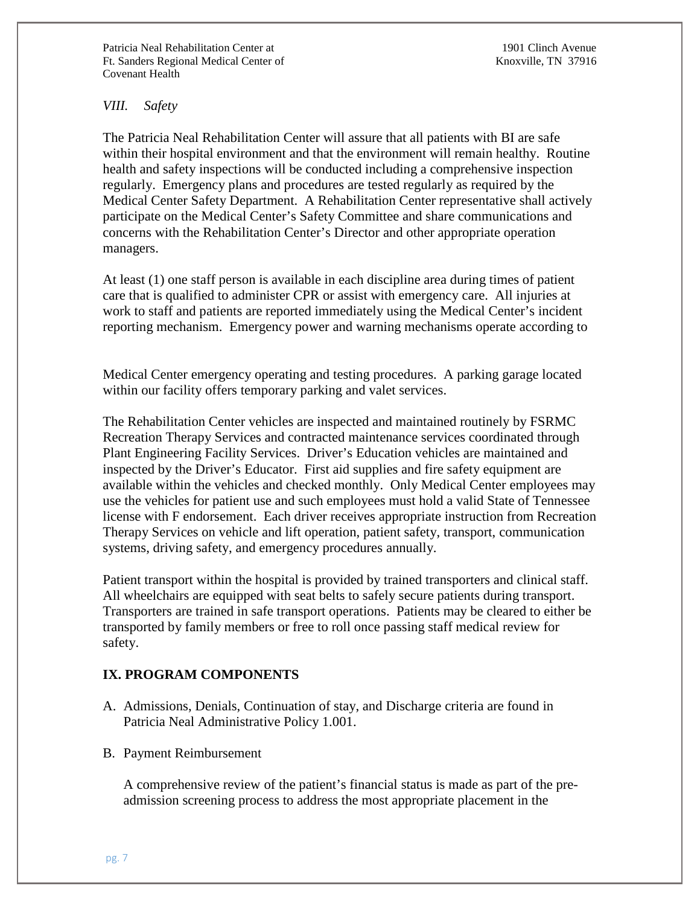## *VIII. Safety*

The Patricia Neal Rehabilitation Center will assure that all patients with BI are safe within their hospital environment and that the environment will remain healthy. Routine health and safety inspections will be conducted including a comprehensive inspection regularly. Emergency plans and procedures are tested regularly as required by the Medical Center Safety Department. A Rehabilitation Center representative shall actively participate on the Medical Center's Safety Committee and share communications and concerns with the Rehabilitation Center's Director and other appropriate operation managers.

At least (1) one staff person is available in each discipline area during times of patient care that is qualified to administer CPR or assist with emergency care. All injuries at work to staff and patients are reported immediately using the Medical Center's incident reporting mechanism. Emergency power and warning mechanisms operate according to

Medical Center emergency operating and testing procedures. A parking garage located within our facility offers temporary parking and valet services.

The Rehabilitation Center vehicles are inspected and maintained routinely by FSRMC Recreation Therapy Services and contracted maintenance services coordinated through Plant Engineering Facility Services. Driver's Education vehicles are maintained and inspected by the Driver's Educator. First aid supplies and fire safety equipment are available within the vehicles and checked monthly. Only Medical Center employees may use the vehicles for patient use and such employees must hold a valid State of Tennessee license with F endorsement. Each driver receives appropriate instruction from Recreation Therapy Services on vehicle and lift operation, patient safety, transport, communication systems, driving safety, and emergency procedures annually.

Patient transport within the hospital is provided by trained transporters and clinical staff. All wheelchairs are equipped with seat belts to safely secure patients during transport. Transporters are trained in safe transport operations. Patients may be cleared to either be transported by family members or free to roll once passing staff medical review for safety.

# **IX. PROGRAM COMPONENTS**

- A. Admissions, Denials, Continuation of stay, and Discharge criteria are found in Patricia Neal Administrative Policy 1.001.
- B. Payment Reimbursement

A comprehensive review of the patient's financial status is made as part of the preadmission screening process to address the most appropriate placement in the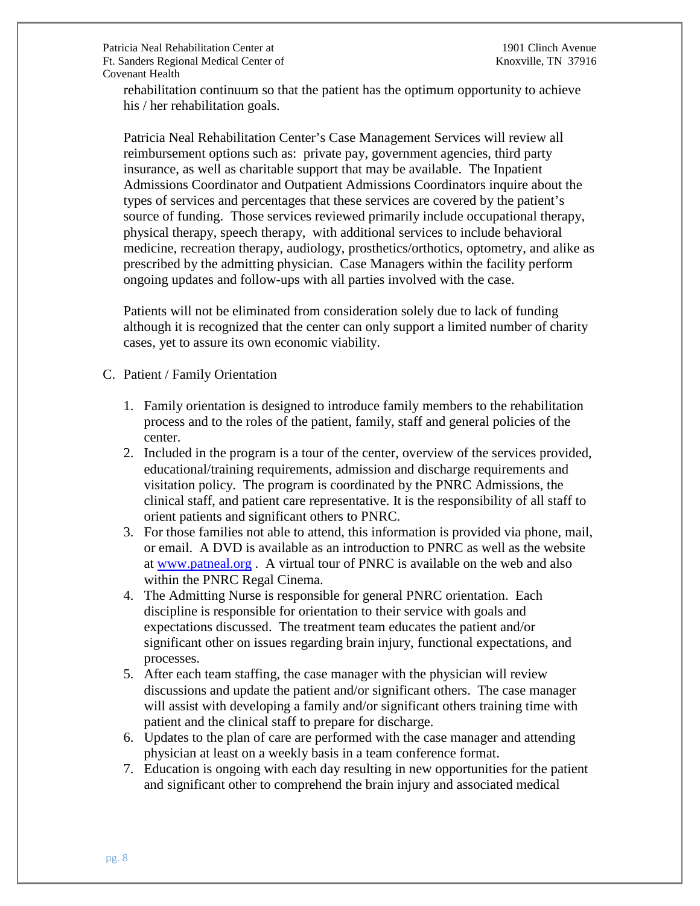rehabilitation continuum so that the patient has the optimum opportunity to achieve his / her rehabilitation goals.

Patricia Neal Rehabilitation Center's Case Management Services will review all reimbursement options such as: private pay, government agencies, third party insurance, as well as charitable support that may be available. The Inpatient Admissions Coordinator and Outpatient Admissions Coordinators inquire about the types of services and percentages that these services are covered by the patient's source of funding. Those services reviewed primarily include occupational therapy, physical therapy, speech therapy, with additional services to include behavioral medicine, recreation therapy, audiology, prosthetics/orthotics, optometry, and alike as prescribed by the admitting physician. Case Managers within the facility perform ongoing updates and follow-ups with all parties involved with the case.

Patients will not be eliminated from consideration solely due to lack of funding although it is recognized that the center can only support a limited number of charity cases, yet to assure its own economic viability.

- C. Patient / Family Orientation
	- 1. Family orientation is designed to introduce family members to the rehabilitation process and to the roles of the patient, family, staff and general policies of the center.
	- 2. Included in the program is a tour of the center, overview of the services provided, educational/training requirements, admission and discharge requirements and visitation policy. The program is coordinated by the PNRC Admissions, the clinical staff, and patient care representative. It is the responsibility of all staff to orient patients and significant others to PNRC.
	- 3. For those families not able to attend, this information is provided via phone, mail, or email. A DVD is available as an introduction to PNRC as well as the website at [www.patneal.org](http://www.patneal.org/) . A virtual tour of PNRC is available on the web and also within the PNRC Regal Cinema.
	- 4. The Admitting Nurse is responsible for general PNRC orientation. Each discipline is responsible for orientation to their service with goals and expectations discussed. The treatment team educates the patient and/or significant other on issues regarding brain injury, functional expectations, and processes.
	- 5. After each team staffing, the case manager with the physician will review discussions and update the patient and/or significant others. The case manager will assist with developing a family and/or significant others training time with patient and the clinical staff to prepare for discharge.
	- 6. Updates to the plan of care are performed with the case manager and attending physician at least on a weekly basis in a team conference format.
	- 7. Education is ongoing with each day resulting in new opportunities for the patient and significant other to comprehend the brain injury and associated medical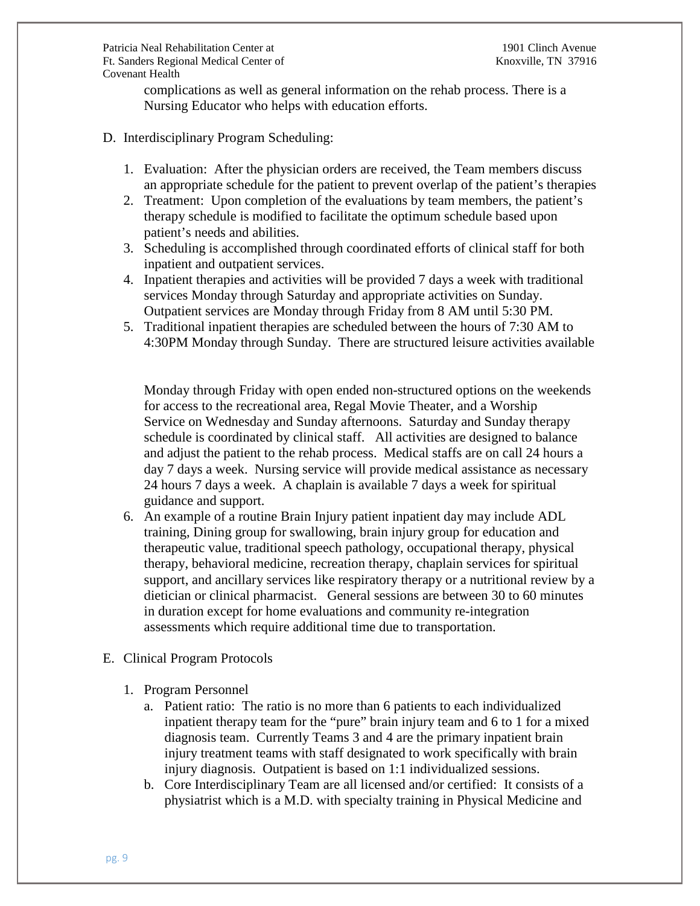complications as well as general information on the rehab process. There is a Nursing Educator who helps with education efforts.

### D. Interdisciplinary Program Scheduling:

- 1. Evaluation: After the physician orders are received, the Team members discuss an appropriate schedule for the patient to prevent overlap of the patient's therapies
- 2. Treatment: Upon completion of the evaluations by team members, the patient's therapy schedule is modified to facilitate the optimum schedule based upon patient's needs and abilities.
- 3. Scheduling is accomplished through coordinated efforts of clinical staff for both inpatient and outpatient services.
- 4. Inpatient therapies and activities will be provided 7 days a week with traditional services Monday through Saturday and appropriate activities on Sunday. Outpatient services are Monday through Friday from 8 AM until 5:30 PM.
- 5. Traditional inpatient therapies are scheduled between the hours of 7:30 AM to 4:30PM Monday through Sunday. There are structured leisure activities available

Monday through Friday with open ended non-structured options on the weekends for access to the recreational area, Regal Movie Theater, and a Worship Service on Wednesday and Sunday afternoons. Saturday and Sunday therapy schedule is coordinated by clinical staff. All activities are designed to balance and adjust the patient to the rehab process. Medical staffs are on call 24 hours a day 7 days a week. Nursing service will provide medical assistance as necessary 24 hours 7 days a week. A chaplain is available 7 days a week for spiritual guidance and support.

- 6. An example of a routine Brain Injury patient inpatient day may include ADL training, Dining group for swallowing, brain injury group for education and therapeutic value, traditional speech pathology, occupational therapy, physical therapy, behavioral medicine, recreation therapy, chaplain services for spiritual support, and ancillary services like respiratory therapy or a nutritional review by a dietician or clinical pharmacist. General sessions are between 30 to 60 minutes in duration except for home evaluations and community re-integration assessments which require additional time due to transportation.
- E. Clinical Program Protocols
	- 1. Program Personnel
		- a. Patient ratio: The ratio is no more than 6 patients to each individualized inpatient therapy team for the "pure" brain injury team and 6 to 1 for a mixed diagnosis team. Currently Teams 3 and 4 are the primary inpatient brain injury treatment teams with staff designated to work specifically with brain injury diagnosis. Outpatient is based on 1:1 individualized sessions.
		- b. Core Interdisciplinary Team are all licensed and/or certified: It consists of a physiatrist which is a M.D. with specialty training in Physical Medicine and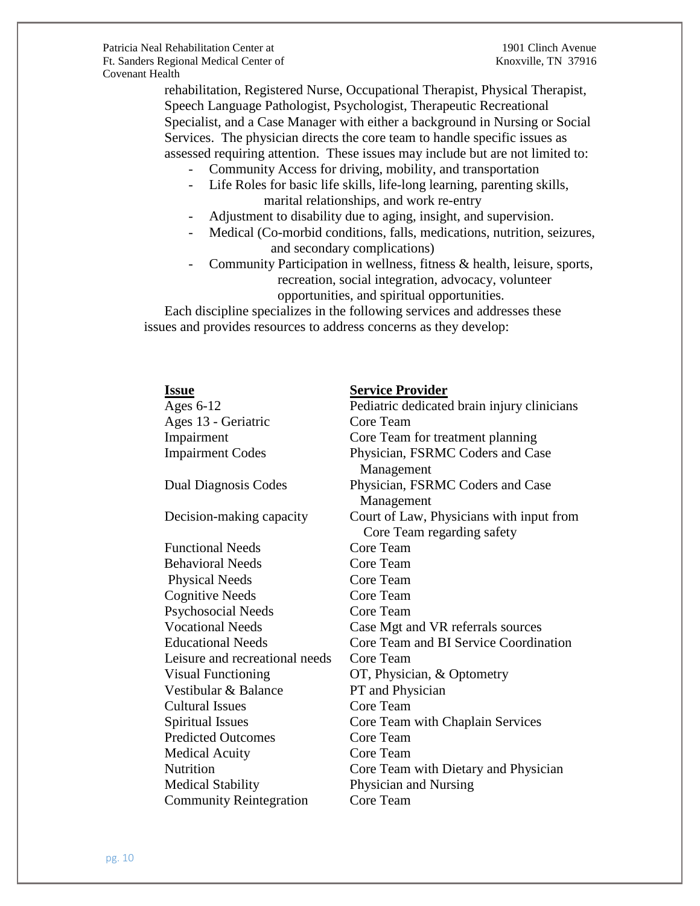rehabilitation, Registered Nurse, Occupational Therapist, Physical Therapist, Speech Language Pathologist, Psychologist, Therapeutic Recreational Specialist, and a Case Manager with either a background in Nursing or Social Services. The physician directs the core team to handle specific issues as assessed requiring attention. These issues may include but are not limited to:

- Community Access for driving, mobility, and transportation
- Life Roles for basic life skills, life-long learning, parenting skills, marital relationships, and work re-entry
- Adjustment to disability due to aging, insight, and supervision.
- Medical (Co-morbid conditions, falls, medications, nutrition, seizures, and secondary complications)
- Community Participation in wellness, fitness & health, leisure, sports, recreation, social integration, advocacy, volunteer opportunities, and spiritual opportunities.

 Each discipline specializes in the following services and addresses these issues and provides resources to address concerns as they develop:

| <u>Issue</u> |                                | <b>Service Provider</b>                                                |
|--------------|--------------------------------|------------------------------------------------------------------------|
| Ages $6-12$  |                                | Pediatric dedicated brain injury clinicians                            |
|              | Ages 13 - Geriatric            | Core Team                                                              |
| Impairment   |                                | Core Team for treatment planning                                       |
|              | <b>Impairment Codes</b>        | Physician, FSRMC Coders and Case<br>Management                         |
|              | Dual Diagnosis Codes           | Physician, FSRMC Coders and Case<br>Management                         |
|              | Decision-making capacity       | Court of Law, Physicians with input from<br>Core Team regarding safety |
|              | <b>Functional Needs</b>        | Core Team                                                              |
|              | <b>Behavioral Needs</b>        | Core Team                                                              |
|              | <b>Physical Needs</b>          | Core Team                                                              |
|              | <b>Cognitive Needs</b>         | Core Team                                                              |
|              | Psychosocial Needs             | Core Team                                                              |
|              | <b>Vocational Needs</b>        | Case Mgt and VR referrals sources                                      |
|              | <b>Educational Needs</b>       | Core Team and BI Service Coordination                                  |
|              | Leisure and recreational needs | Core Team                                                              |
|              | <b>Visual Functioning</b>      | OT, Physician, & Optometry                                             |
|              | Vestibular & Balance           | PT and Physician                                                       |
|              | <b>Cultural Issues</b>         | Core Team                                                              |
|              | <b>Spiritual Issues</b>        | Core Team with Chaplain Services                                       |
|              | <b>Predicted Outcomes</b>      | Core Team                                                              |
|              | <b>Medical Acuity</b>          | Core Team                                                              |
| Nutrition    |                                | Core Team with Dietary and Physician                                   |
|              | <b>Medical Stability</b>       | Physician and Nursing                                                  |
|              | <b>Community Reintegration</b> | Core Team                                                              |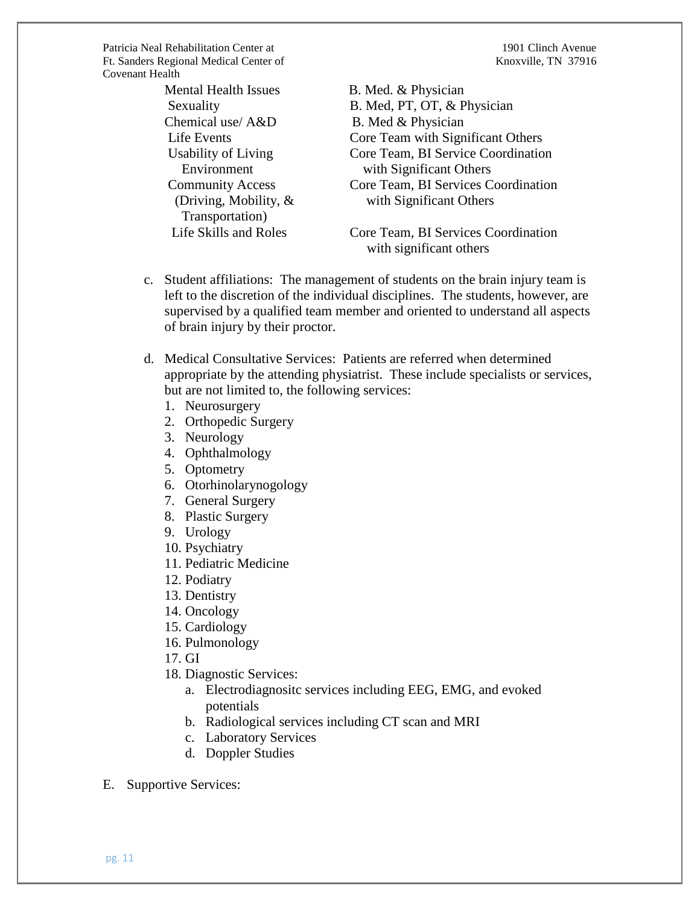Mental Health Issues B. Med. & Physician Chemical use/ A&D B. Med & Physician Transportation)

Sexuality B. Med, PT, OT, & Physician Life Events Core Team with Significant Others Usability of Living Core Team, BI Service Coordination Environment with Significant Others Community Access Core Team, BI Services Coordination (Driving, Mobility, & with Significant Others

 Life Skills and Roles Core Team, BI Services Coordination with significant others

- c. Student affiliations: The management of students on the brain injury team is left to the discretion of the individual disciplines. The students, however, are supervised by a qualified team member and oriented to understand all aspects of brain injury by their proctor.
- d. Medical Consultative Services: Patients are referred when determined appropriate by the attending physiatrist. These include specialists or services, but are not limited to, the following services:
	- 1. Neurosurgery
	- 2. Orthopedic Surgery
	- 3. Neurology
	- 4. Ophthalmology
	- 5. Optometry
	- 6. Otorhinolarynogology
	- 7. General Surgery
	- 8. Plastic Surgery
	- 9. Urology
	- 10. Psychiatry
	- 11. Pediatric Medicine
	- 12. Podiatry
	- 13. Dentistry
	- 14. Oncology
	- 15. Cardiology
	- 16. Pulmonology
	- 17. GI
	- 18. Diagnostic Services:
		- a. Electrodiagnositc services including EEG, EMG, and evoked potentials
		- b. Radiological services including CT scan and MRI
		- c. Laboratory Services
		- d. Doppler Studies
- E. Supportive Services: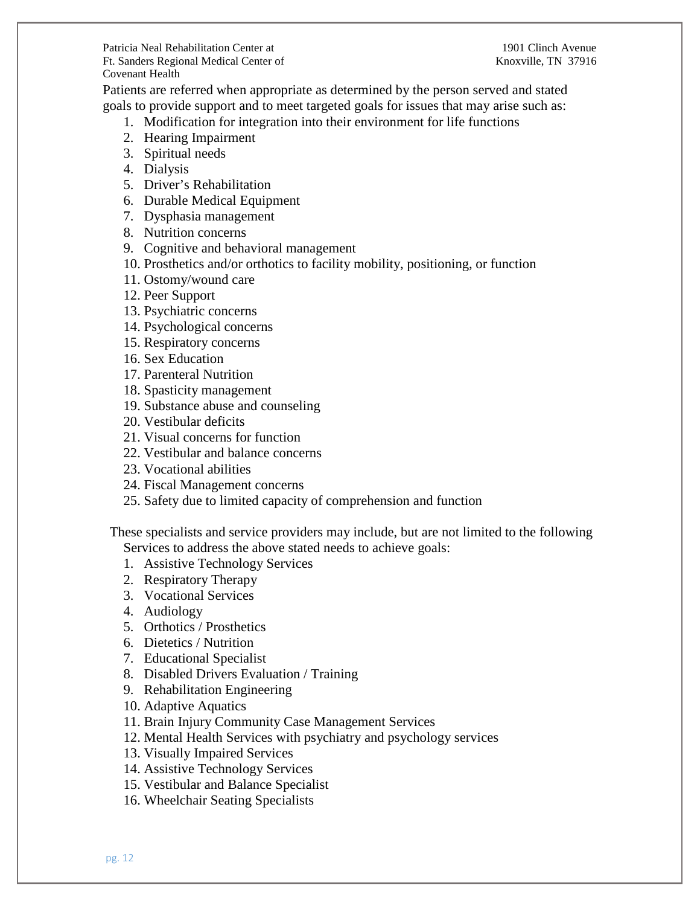Patients are referred when appropriate as determined by the person served and stated goals to provide support and to meet targeted goals for issues that may arise such as:

- 1. Modification for integration into their environment for life functions
- 2. Hearing Impairment
- 3. Spiritual needs
- 4. Dialysis
- 5. Driver's Rehabilitation
- 6. Durable Medical Equipment
- 7. Dysphasia management
- 8. Nutrition concerns
- 9. Cognitive and behavioral management
- 10. Prosthetics and/or orthotics to facility mobility, positioning, or function
- 11. Ostomy/wound care
- 12. Peer Support
- 13. Psychiatric concerns
- 14. Psychological concerns
- 15. Respiratory concerns
- 16. Sex Education
- 17. Parenteral Nutrition
- 18. Spasticity management
- 19. Substance abuse and counseling
- 20. Vestibular deficits
- 21. Visual concerns for function
- 22. Vestibular and balance concerns
- 23. Vocational abilities
- 24. Fiscal Management concerns
- 25. Safety due to limited capacity of comprehension and function

 These specialists and service providers may include, but are not limited to the following Services to address the above stated needs to achieve goals:

- 1. Assistive Technology Services
- 2. Respiratory Therapy
- 3. Vocational Services
- 4. Audiology
- 5. Orthotics / Prosthetics
- 6. Dietetics / Nutrition
- 7. Educational Specialist
- 8. Disabled Drivers Evaluation / Training
- 9. Rehabilitation Engineering
- 10. Adaptive Aquatics
- 11. Brain Injury Community Case Management Services
- 12. Mental Health Services with psychiatry and psychology services
- 13. Visually Impaired Services
- 14. Assistive Technology Services
- 15. Vestibular and Balance Specialist
- 16. Wheelchair Seating Specialists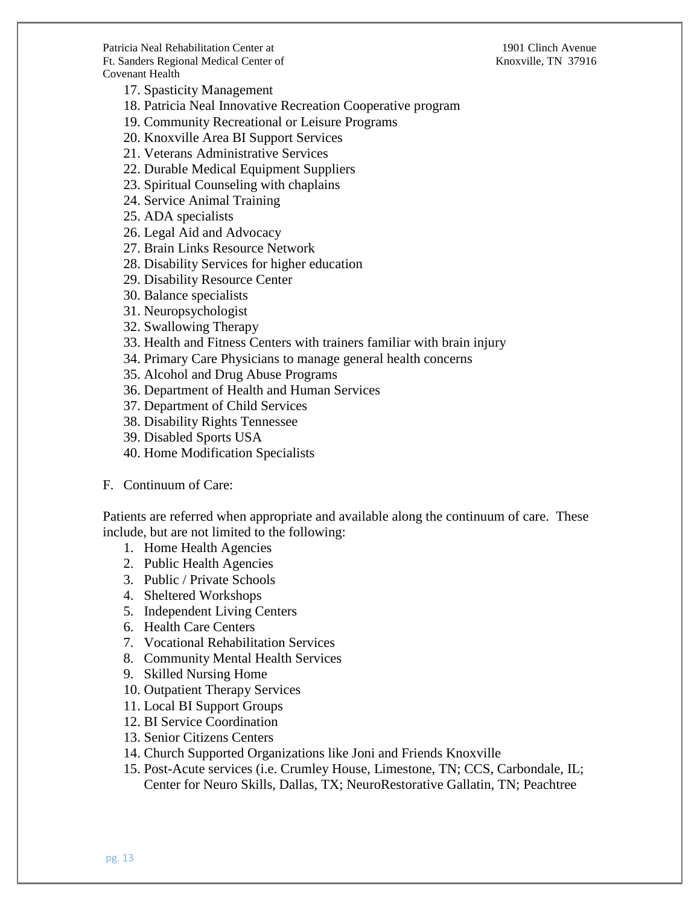17. Spasticity Management

18. Patricia Neal Innovative Recreation Cooperative program

19. Community Recreational or Leisure Programs

20. Knoxville Area BI Support Services

21. Veterans Administrative Services

22. Durable Medical Equipment Suppliers

23. Spiritual Counseling with chaplains

24. Service Animal Training

25. ADA specialists

26. Legal Aid and Advocacy

27. Brain Links Resource Network

28. Disability Services for higher education

29. Disability Resource Center

30. Balance specialists

31. Neuropsychologist

32. Swallowing Therapy

33. Health and Fitness Centers with trainers familiar with brain injury

34. Primary Care Physicians to manage general health concerns

35. Alcohol and Drug Abuse Programs

36. Department of Health and Human Services

37. Department of Child Services

38. Disability Rights Tennessee

39. Disabled Sports USA

40. Home Modification Specialists

F. Continuum of Care:

Patients are referred when appropriate and available along the continuum of care. These include, but are not limited to the following:

1. Home Health Agencies

2. Public Health Agencies

3. Public / Private Schools

4. Sheltered Workshops

5. Independent Living Centers

6. Health Care Centers

7. Vocational Rehabilitation Services

8. Community Mental Health Services

9. Skilled Nursing Home

10. Outpatient Therapy Services

11. Local BI Support Groups

12. BI Service Coordination

13. Senior Citizens Centers

14. Church Supported Organizations like Joni and Friends Knoxville

15. Post-Acute services (i.e. Crumley House, Limestone, TN; CCS, Carbondale, IL; Center for Neuro Skills, Dallas, TX; NeuroRestorative Gallatin, TN; Peachtree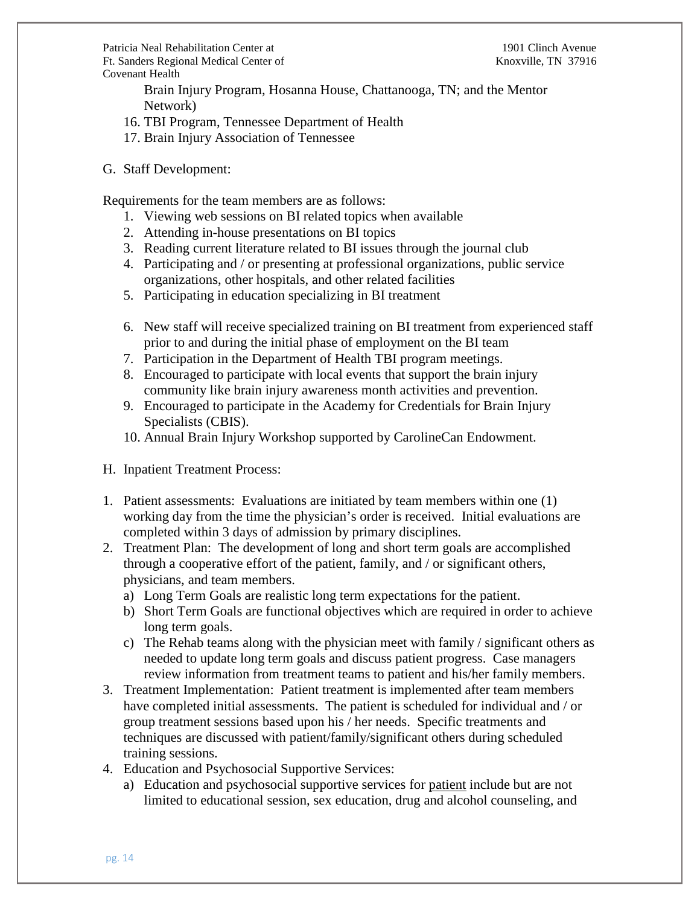Brain Injury Program, Hosanna House, Chattanooga, TN; and the Mentor Network)

- 16. TBI Program, Tennessee Department of Health
- 17. Brain Injury Association of Tennessee
- G. Staff Development:

Requirements for the team members are as follows:

- 1. Viewing web sessions on BI related topics when available
- 2. Attending in-house presentations on BI topics
- 3. Reading current literature related to BI issues through the journal club
- 4. Participating and / or presenting at professional organizations, public service organizations, other hospitals, and other related facilities
- 5. Participating in education specializing in BI treatment
- 6. New staff will receive specialized training on BI treatment from experienced staff prior to and during the initial phase of employment on the BI team
- 7. Participation in the Department of Health TBI program meetings.
- 8. Encouraged to participate with local events that support the brain injury community like brain injury awareness month activities and prevention.
- 9. Encouraged to participate in the Academy for Credentials for Brain Injury Specialists (CBIS).
- 10. Annual Brain Injury Workshop supported by CarolineCan Endowment.
- H. Inpatient Treatment Process:
- 1. Patient assessments: Evaluations are initiated by team members within one (1) working day from the time the physician's order is received. Initial evaluations are completed within 3 days of admission by primary disciplines.
- 2. Treatment Plan: The development of long and short term goals are accomplished through a cooperative effort of the patient, family, and / or significant others, physicians, and team members.
	- a) Long Term Goals are realistic long term expectations for the patient.
	- b) Short Term Goals are functional objectives which are required in order to achieve long term goals.
	- c) The Rehab teams along with the physician meet with family / significant others as needed to update long term goals and discuss patient progress. Case managers review information from treatment teams to patient and his/her family members.
- 3. Treatment Implementation: Patient treatment is implemented after team members have completed initial assessments. The patient is scheduled for individual and / or group treatment sessions based upon his / her needs. Specific treatments and techniques are discussed with patient/family/significant others during scheduled training sessions.
- 4. Education and Psychosocial Supportive Services:
	- a) Education and psychosocial supportive services for patient include but are not limited to educational session, sex education, drug and alcohol counseling, and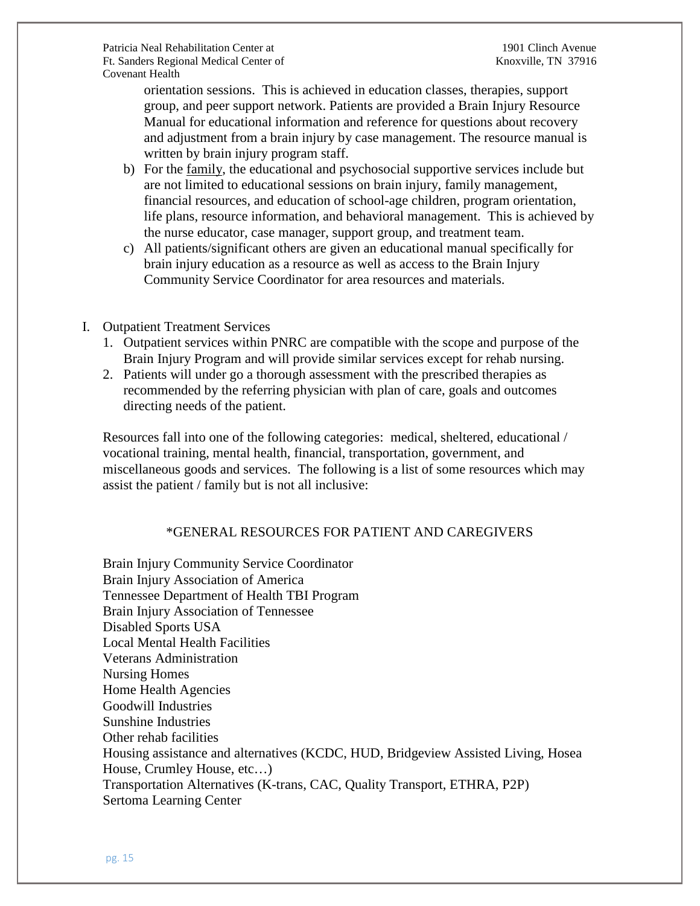orientation sessions. This is achieved in education classes, therapies, support group, and peer support network. Patients are provided a Brain Injury Resource Manual for educational information and reference for questions about recovery and adjustment from a brain injury by case management. The resource manual is written by brain injury program staff.

- b) For the family, the educational and psychosocial supportive services include but are not limited to educational sessions on brain injury, family management, financial resources, and education of school-age children, program orientation, life plans, resource information, and behavioral management. This is achieved by the nurse educator, case manager, support group, and treatment team.
- c) All patients/significant others are given an educational manual specifically for brain injury education as a resource as well as access to the Brain Injury Community Service Coordinator for area resources and materials.
- I. Outpatient Treatment Services
	- 1. Outpatient services within PNRC are compatible with the scope and purpose of the Brain Injury Program and will provide similar services except for rehab nursing.
	- 2. Patients will under go a thorough assessment with the prescribed therapies as recommended by the referring physician with plan of care, goals and outcomes directing needs of the patient.

Resources fall into one of the following categories: medical, sheltered, educational / vocational training, mental health, financial, transportation, government, and miscellaneous goods and services. The following is a list of some resources which may assist the patient / family but is not all inclusive:

# \*GENERAL RESOURCES FOR PATIENT AND CAREGIVERS

Brain Injury Community Service Coordinator Brain Injury Association of America Tennessee Department of Health TBI Program Brain Injury Association of Tennessee Disabled Sports USA Local Mental Health Facilities Veterans Administration Nursing Homes Home Health Agencies Goodwill Industries Sunshine Industries Other rehab facilities Housing assistance and alternatives (KCDC, HUD, Bridgeview Assisted Living, Hosea House, Crumley House, etc…) Transportation Alternatives (K-trans, CAC, Quality Transport, ETHRA, P2P) Sertoma Learning Center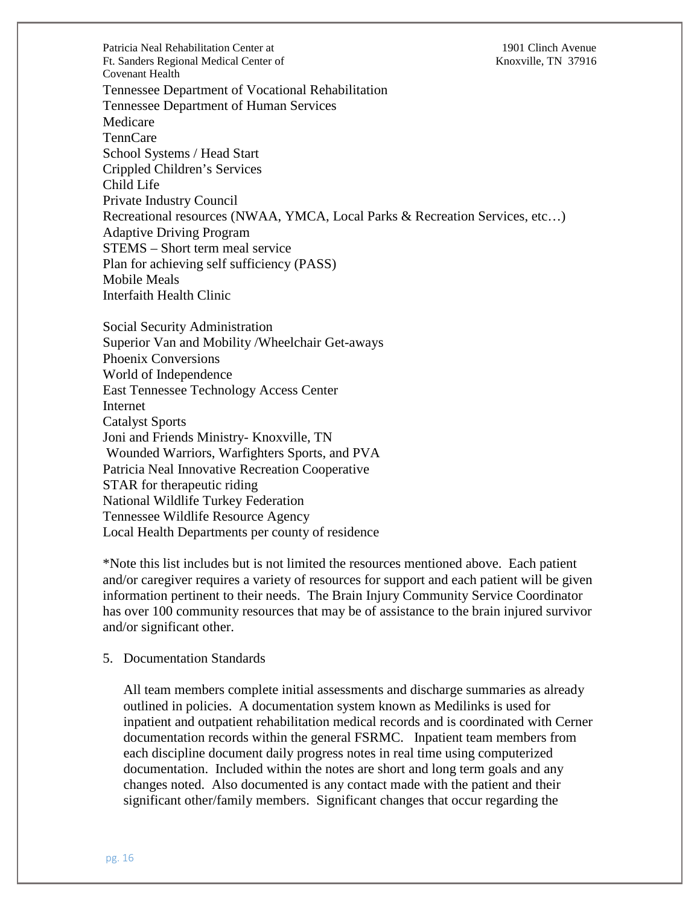Patricia Neal Rehabilitation Center at 1901 Clinch Avenue Ft. Sanders Regional Medical Center of Knoxville, TN 37916 Covenant Health Tennessee Department of Vocational Rehabilitation Tennessee Department of Human Services Medicare TennCare School Systems / Head Start Crippled Children's Services Child Life Private Industry Council Recreational resources (NWAA, YMCA, Local Parks & Recreation Services, etc…) Adaptive Driving Program STEMS – Short term meal service Plan for achieving self sufficiency (PASS) Mobile Meals Interfaith Health Clinic

Social Security Administration Superior Van and Mobility /Wheelchair Get-aways Phoenix Conversions World of Independence East Tennessee Technology Access Center Internet Catalyst Sports Joni and Friends Ministry- Knoxville, TN Wounded Warriors, Warfighters Sports, and PVA Patricia Neal Innovative Recreation Cooperative STAR for therapeutic riding National Wildlife Turkey Federation Tennessee Wildlife Resource Agency Local Health Departments per county of residence

\*Note this list includes but is not limited the resources mentioned above. Each patient and/or caregiver requires a variety of resources for support and each patient will be given information pertinent to their needs. The Brain Injury Community Service Coordinator has over 100 community resources that may be of assistance to the brain injured survivor and/or significant other.

#### 5. Documentation Standards

All team members complete initial assessments and discharge summaries as already outlined in policies. A documentation system known as Medilinks is used for inpatient and outpatient rehabilitation medical records and is coordinated with Cerner documentation records within the general FSRMC. Inpatient team members from each discipline document daily progress notes in real time using computerized documentation. Included within the notes are short and long term goals and any changes noted. Also documented is any contact made with the patient and their significant other/family members. Significant changes that occur regarding the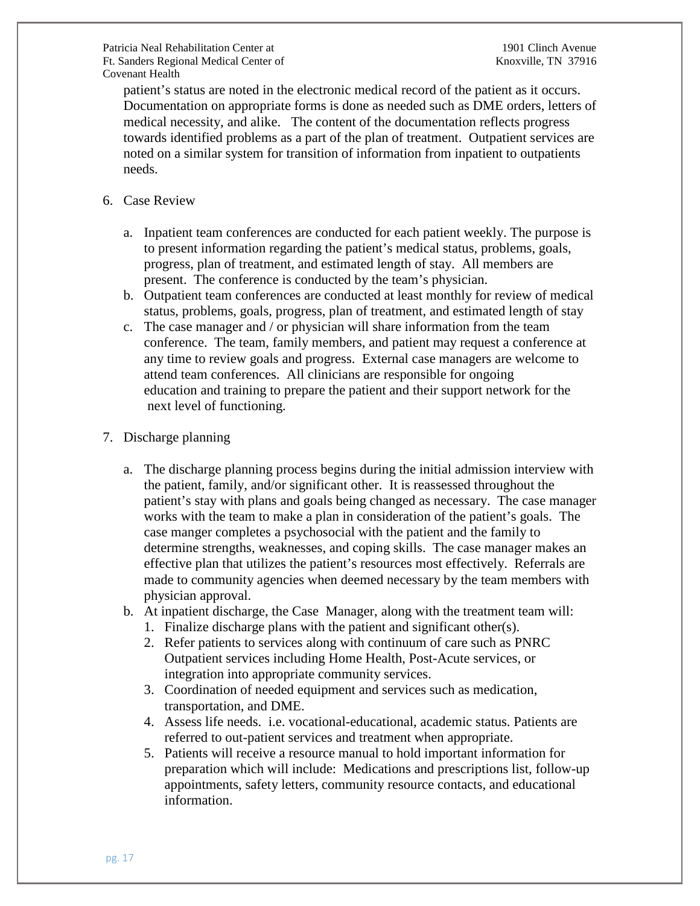patient's status are noted in the electronic medical record of the patient as it occurs. Documentation on appropriate forms is done as needed such as DME orders, letters of medical necessity, and alike. The content of the documentation reflects progress towards identified problems as a part of the plan of treatment. Outpatient services are noted on a similar system for transition of information from inpatient to outpatients needs.

- 6. Case Review
	- a. Inpatient team conferences are conducted for each patient weekly. The purpose is to present information regarding the patient's medical status, problems, goals, progress, plan of treatment, and estimated length of stay. All members are present. The conference is conducted by the team's physician.
	- b. Outpatient team conferences are conducted at least monthly for review of medical status, problems, goals, progress, plan of treatment, and estimated length of stay
	- c. The case manager and / or physician will share information from the team conference. The team, family members, and patient may request a conference at any time to review goals and progress. External case managers are welcome to attend team conferences. All clinicians are responsible for ongoing education and training to prepare the patient and their support network for the next level of functioning.

## 7. Discharge planning

- a. The discharge planning process begins during the initial admission interview with the patient, family, and/or significant other. It is reassessed throughout the patient's stay with plans and goals being changed as necessary. The case manager works with the team to make a plan in consideration of the patient's goals. The case manger completes a psychosocial with the patient and the family to determine strengths, weaknesses, and coping skills. The case manager makes an effective plan that utilizes the patient's resources most effectively. Referrals are made to community agencies when deemed necessary by the team members with physician approval.
- b. At inpatient discharge, the Case Manager, along with the treatment team will:
	- 1. Finalize discharge plans with the patient and significant other(s).
	- 2. Refer patients to services along with continuum of care such as PNRC Outpatient services including Home Health, Post-Acute services, or integration into appropriate community services.
	- 3. Coordination of needed equipment and services such as medication, transportation, and DME.
	- 4. Assess life needs. i.e. vocational-educational, academic status. Patients are referred to out-patient services and treatment when appropriate.
	- 5. Patients will receive a resource manual to hold important information for preparation which will include: Medications and prescriptions list, follow-up appointments, safety letters, community resource contacts, and educational information.